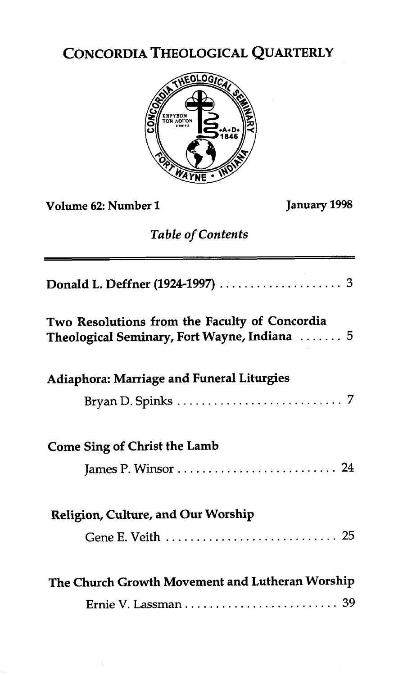## CONCORDIA THEOLOGICAL QUARTERLY



**Volume 62: Number 1 January 1998** 

## *Table of Contents*

| Two Resolutions from the Faculty of Concordia<br>Theological Seminary, Fort Wayne, Indiana  5 |
|-----------------------------------------------------------------------------------------------|
| Adiaphora: Marriage and Funeral Liturgies                                                     |
|                                                                                               |
| <b>Come Sing of Christ the Lamb</b>                                                           |
| Religion, Culture, and Our Worship                                                            |
|                                                                                               |
| The Church Growth Movement and Lutheran Worship                                               |
|                                                                                               |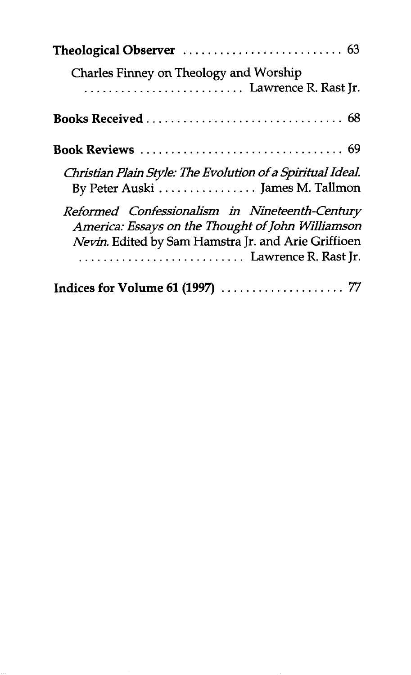| Charles Finney on Theology and Worship                                                                                                                                             |
|------------------------------------------------------------------------------------------------------------------------------------------------------------------------------------|
|                                                                                                                                                                                    |
| <b>Book Reviews</b> 69                                                                                                                                                             |
| Christian Plain Style: The Evolution of a Spiritual Ideal.<br>By Peter Auski  James M. Tallmon                                                                                     |
| Reformed Confessionalism in Nineteenth-Century<br>America: Essays on the Thought of John Williamson<br>Nevin. Edited by Sam Hamstra Jr. and Arie Griffioen<br>Lawrence R. Rast Jr. |
|                                                                                                                                                                                    |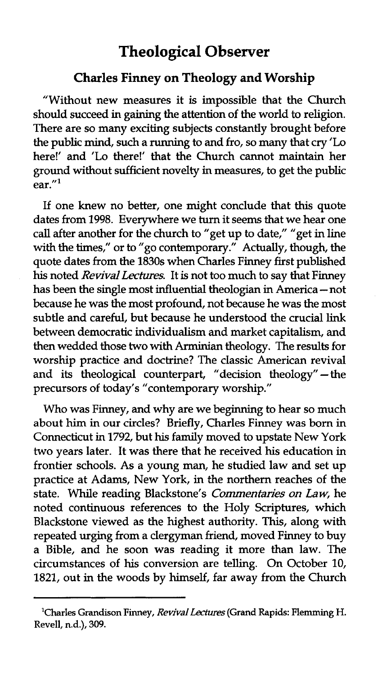## **Theological Observer**

## **Charles Finney on Theology and Worship**

"Without new measures it is impossible that the Church should succeed in gaining the attention of the world to religion. There are so many exciting subjects constantly brought before the public mind, such a running to and fro, so many that cry 'Lo here!' and 'Lo there!' that the Church cannot maintain her ground without sufficient novelty in measures, to get the public  $ear.$ "

If one knew no better, one might conclude that this quote dates from 1998. Everywhere we turn it seems that we hear one call after another for the church to "get up to date," "get in line with the times," or to "go contemporary." Actually, though, the quote dates from the 1830s when Charles Finney first published **his** noted Revival Lecfures. It is not too much to say that Finney has been the single most influential theologian in America – not because he was the most profound, not because he was the most subtle and careful, but because he understood the crucial link between democratic individualism and market capitalism, and then wedded those two with Arrninian theology. The results for worship practice and doctrine? The cIassic American revival and its theological counterpart, "decision theology" $-$ the precursors of today's "contemporary worship."

Who was Finney, and why are we beginning to hear so much about him in our circles? Briefly, Charles Finney was born in Connecticut **in** 1792, but his family moved to upstate New York two years later. It was there that he received his education in frontier schools. As a young man, he studied law and set up practice at Adams, New York, in the northern reaches of the state. While reading Blackstone's Commentaries on Law, he noted continuous references to the Holy Scriptures, which Blackstone viewed as the highest authority. **This,** along with repeated urging from a clergyman friend, moved Finney to buy a Bible, and he soon was reading it more than law. The circumstances of his conversion are telling. On October 10, 1821, out in the woods by himself, far away from the Church

**<sup>&#</sup>x27;Charles Grandison Finney, Revival** *Lectures* **(Grand Rapids: Flernming H. Revell, n.d.), 309.**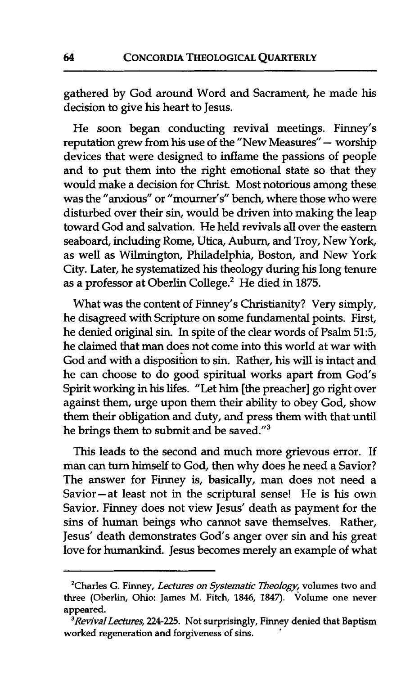gathered by God around Word and Sacrament, he made his decision to give his heart to Jesus.

He soon began conducting revival meetings. Finney's reputation grew from his use of the "New Measures" - worship devices that were designed to inflame the passions of people and to put them into the right emotional state so that they would make a decision for Christ. Most notorious among these was the "anxious" or "mourner's" bench, where those who were disturbed over their sin, would be driven into making the leap toward God and salvation. He held revivals **all** over the eastern seaboard, including Rome, Utica, Auburn, and Troy, New York, as well as Wilmington, Philadelphia, Boston, and New York City. Later, he systematized his theology during his long tenure as a professor at Oberlin College.' He died in 1875.

What was the content of Finney's Christianity? Very simply, he disagreed with Scripture on some fundamental points. First, he denied original sin. In spite of the clear words of Psalm 51:5, he claimed that **man** does not come into this world at war with God and **with** a disposition to sin. Rather, his will is intact and he can choose to do good spiritual works apart from God's Spirit working in his lifes. "Let him [the preacher] go right over against them, urge upon them their ability to obey God, show them their obligation and duty, and press them with that until he brings them to submit and be saved."<sup>3</sup>

This leads to the second and much more grievous error. If man can **turn** himself to God, then why does he need a Savior? The answer for Finney is, basically, man does not need a Savior-at least not in the scriptural sense! He is his own Savior. Finney does not view Jesus' death as payment for the sins of human beings who cannot save themselves. Rather, Jesus' death demonstrates God's anger over sin and his great love for humankind. Jesus becomes merely an example of what

**<sup>&#</sup>x27;Charles** *G.* **Finney,** *Lectures on Systematic Theology,* **volumes two and three (Oberlin, Ohio: James M. Fitch, 1846, 1847). volume one never appeared.** 

*<sup>&#</sup>x27;Revival Lectures, 224225. Not* **surprisingly, Finney denied that Baptism worked regeneration and forgiveness of sins.** '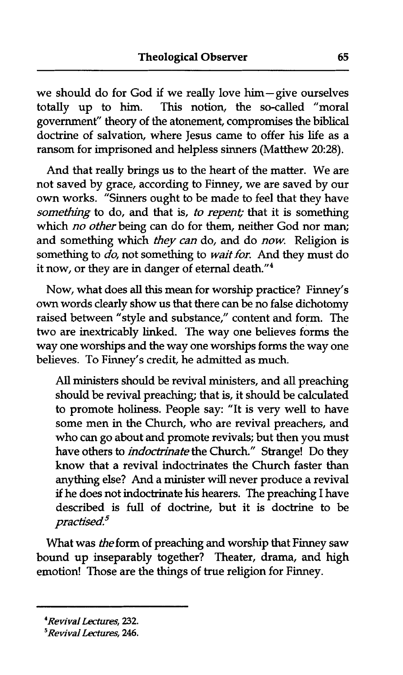we should do for God if we really love him-give ourselves totally up to him. **This** notion, the so-called "moral government" theory of the atonement, compromises the biblical doctrine of salvation, where Jesus came to offer his life as a ransom for imprisoned and helpless sinners (Matthew 20:28).

And that really brings us to the heart of the matter. We are not saved by grace, according to Finney, we are saved by our own works. "Sinners ought to be made to feel that they have something to do, and that is, to repent; that it is something which no other being can do for them, neither God nor man; and something which they can do, and do now. Religion is something to do, not something to wait for. And they must do it now, or they are in danger of eternal death."<sup>4</sup>

Now, what does all this mean for worship practice? Finney's own words clearly show us that there can be no false dichotomy raised between "style and substance," content and form. The two are inextricably linked. The way one believes forms the way one worships and the way one worships forms the way one believes. To Finney's credit, he admitted as much.

All ministers should be revival ministers, and **all** preaching should be revival preaching; that is, it should be calculated to promote holiness. People say: "It is very well to have some men in the Church, who are revival preachers, and who can go about and promote revivals; but then you must have others to *indoctrinate* the Church." Strange! Do they know that a revival indoctrinates the Church faster than anything else? And a minister will never produce a revival if he does not indoctrinate **his** hearers. The preaching I have described is full of doctrine, but it is doctrine to be  $practised.<sup>5</sup>$ 

**What** was theform of preaching and worship that Finney saw bound up inseparably together? Theater, drama, and high emotion! Those are the things of true religion for Finney.

*<sup>4</sup>Revival Lectures, 232.* 

*<sup>5</sup>Revival Lectures,* **2246.**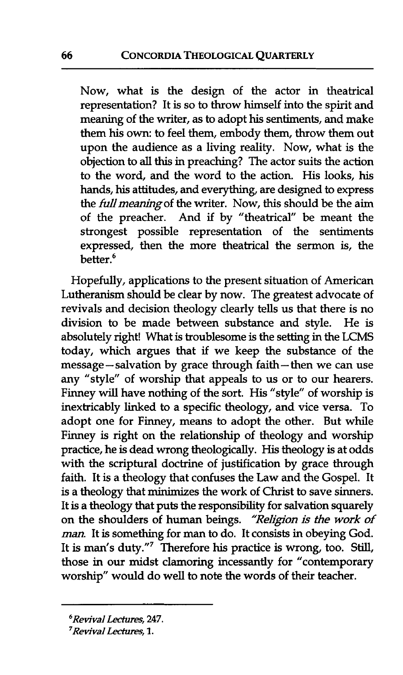Now, what is the design of the actor in theatrical representation? It is so to throw himself into the spirit and meaning of the writer, as to adopt his sentiments, and make them his own: to feel them, embody them, throw them out upon the audience as a living reality. Now, what is the objection to all **this** in preaching? The actor suits the action to the word, and the word to the action. His looks, his hands, his attitudes, and everything, are designed to express the *full meaning* of the writer. Now, this should be the aim of the preacher. And if by "theatrical" be meant the strongest possible representation of the sentiments expressed, then the more theatrical the sermon is, the better.<sup>6</sup>

Hopefully, applications to the present situation of American Lutheranism should be clear by now. The greatest advocate of revivals and decision theology clearly tells us that there is no division to be made between substance and style. He is absolutely right! What is troublesome is the setting in the LCMS today, which argues that if we keep the substance of the message-salvation by grace through faith-then we can use any "style" of worship that appeals to us or to our hearers. Finney will have nothing of the sort. His "style" of worship is inextricably linked to a specific theology, and vice versa. To adopt one for Finney, means to adopt the other. But while Finney is right on the relationship of theology and worship practice, he is dead wrong theologically. His theology is at odds with the scriptural doctrine of justification by grace through faith. It is a theology that confuses the Law and the Gospel. It is a theology that minimizes the work of Christ to save sinners. It is a theology that puts the responsibility for salvation squarely on the shoulders of human beings. *''Rehgon is* the **work** of *man.* It is something for **man** to do. It consists in obeying God. It is man's duty."' Therefore his practice is wrong, too. Still, those in our midst clamoring incessantly for "contemporary worship" would do **well** to note **the** words of their teacher.

*<sup>6</sup>Revival Lectures, 247.* 

*<sup>&#</sup>x27;Revival Ledures,* **1.**